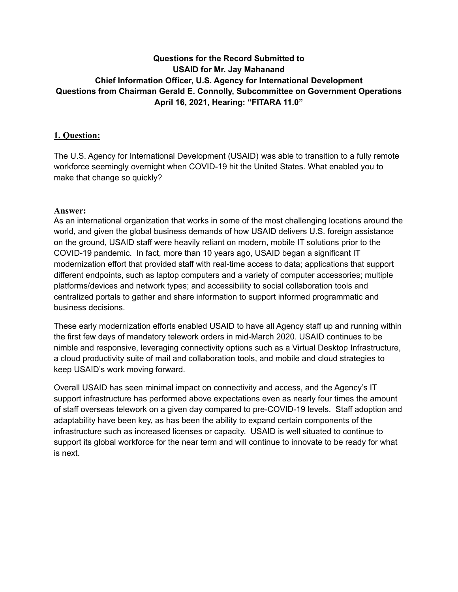# **Questions for the Record Submitted to USAID for Mr. Jay Mahanand Chief Information Officer, U.S. Agency for International Development Questions from Chairman Gerald E. Connolly, Subcommittee on Government Operations April 16, 2021, Hearing: "FITARA 11.0"**

## **1. Question:**

The U.S. Agency for International Development (USAID) was able to transition to a fully remote workforce seemingly overnight when COVID-19 hit the United States. What enabled you to make that change so quickly?

#### **Answer:**

As an international organization that works in some of the most challenging locations around the world, and given the global business demands of how USAID delivers U.S. foreign assistance on the ground, USAID staff were heavily reliant on modern, mobile IT solutions prior to the COVID-19 pandemic. In fact, more than 10 years ago, USAID began a significant IT modernization effort that provided staff with real-time access to data; applications that support different endpoints, such as laptop computers and a variety of computer accessories; multiple platforms/devices and network types; and accessibility to social collaboration tools and centralized portals to gather and share information to support informed programmatic and business decisions.

These early modernization efforts enabled USAID to have all Agency staff up and running within the first few days of mandatory telework orders in mid-March 2020. USAID continues to be nimble and responsive, leveraging connectivity options such as a Virtual Desktop Infrastructure, a cloud productivity suite of mail and collaboration tools, and mobile and cloud strategies to keep USAID's work moving forward.

Overall USAID has seen minimal impact on connectivity and access, and the Agency's IT support infrastructure has performed above expectations even as nearly four times the amount of staff overseas telework on a given day compared to pre-COVID-19 levels. Staff adoption and adaptability have been key, as has been the ability to expand certain components of the infrastructure such as increased licenses or capacity. USAID is well situated to continue to support its global workforce for the near term and will continue to innovate to be ready for what is next.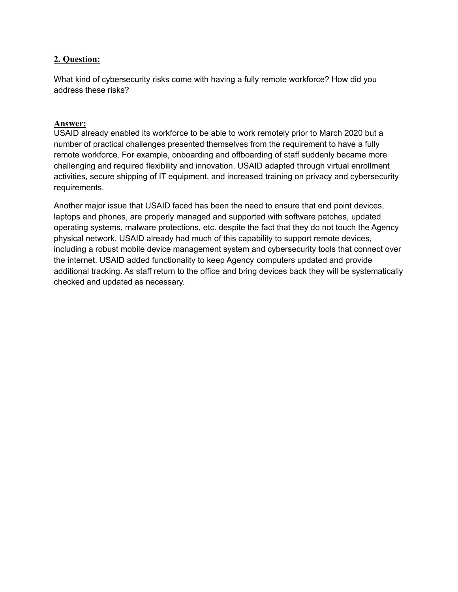What kind of cybersecurity risks come with having a fully remote workforce? How did you address these risks?

# **Answer:**

USAID already enabled its workforce to be able to work remotely prior to March 2020 but a number of practical challenges presented themselves from the requirement to have a fully remote workforce. For example, onboarding and offboarding of staff suddenly became more challenging and required flexibility and innovation. USAID adapted through virtual enrollment activities, secure shipping of IT equipment, and increased training on privacy and cybersecurity requirements.

Another major issue that USAID faced has been the need to ensure that end point devices, laptops and phones, are properly managed and supported with software patches, updated operating systems, malware protections, etc. despite the fact that they do not touch the Agency physical network. USAID already had much of this capability to support remote devices, including a robust mobile device management system and cybersecurity tools that connect over the internet. USAID added functionality to keep Agency computers updated and provide additional tracking. As staff return to the office and bring devices back they will be systematically checked and updated as necessary.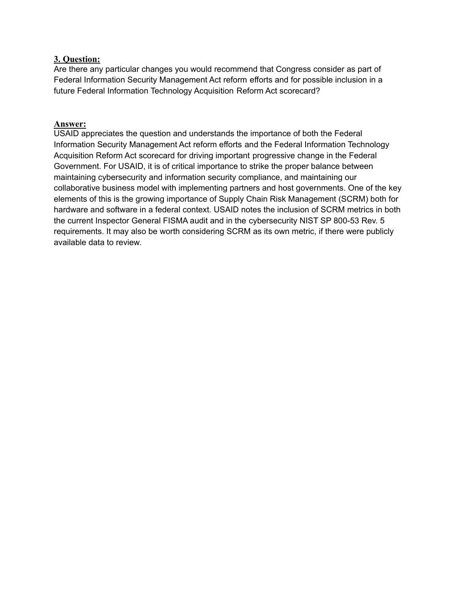Are there any particular changes you would recommend that Congress consider as part of Federal Information Security Management Act reform efforts and for possible inclusion in a future Federal Information Technology Acquisition Reform Act scorecard?

## **Answer:**

USAID appreciates the question and understands the importance of both the Federal Information Security Management Act reform efforts and the Federal Information Technology Acquisition Reform Act scorecard for driving important progressive change in the Federal Government. For USAID, it is of critical importance to strike the proper balance between maintaining cybersecurity and information security compliance, and maintaining our collaborative business model with implementing partners and host governments. One of the key elements of this is the growing importance of Supply Chain Risk Management (SCRM) both for hardware and software in a federal context. USAID notes the inclusion of SCRM metrics in both the current Inspector General FISMA audit and in the cybersecurity NIST SP 800-53 Rev. 5 requirements. It may also be worth considering SCRM as its own metric, if there were publicly available data to review.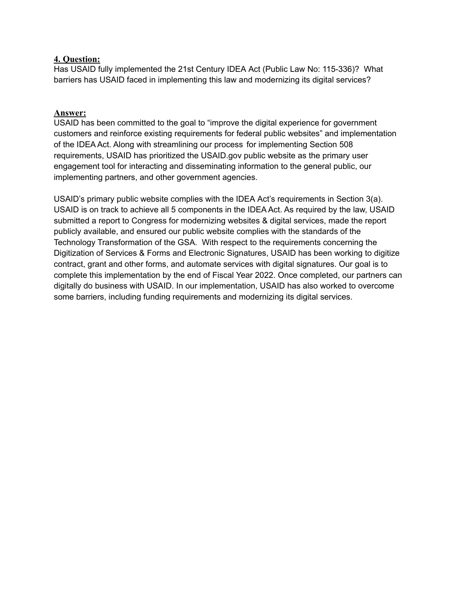Has USAID fully implemented the 21st Century IDEA Act (Public Law No: 115-336)? What barriers has USAID faced in implementing this law and modernizing its digital services?

#### **Answer:**

USAID has been committed to the goal to "improve the digital experience for government customers and reinforce existing requirements for federal public websites" and implementation of the IDEA Act. Along with streamlining our process for implementing Section 508 requirements, USAID has prioritized the USAID.gov public website as the primary user engagement tool for interacting and disseminating information to the general public, our implementing partners, and other government agencies.

USAID's primary public website complies with the IDEA Act's requirements in Section 3(a). USAID is on track to achieve all 5 components in the IDEA Act. As required by the law, USAID submitted a report to Congress for modernizing websites & digital services, made the report publicly available, and ensured our public website complies with the standards of the Technology Transformation of the GSA. With respect to the requirements concerning the Digitization of Services & Forms and Electronic Signatures, USAID has been working to digitize contract, grant and other forms, and automate services with digital signatures. Our goal is to complete this implementation by the end of Fiscal Year 2022. Once completed, our partners can digitally do business with USAID. In our implementation, USAID has also worked to overcome some barriers, including funding requirements and modernizing its digital services.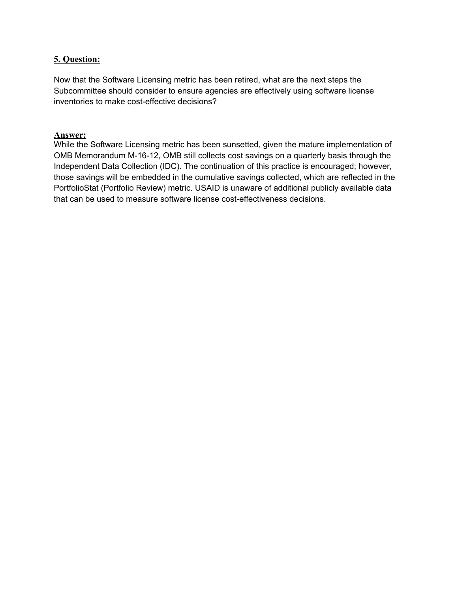Now that the Software Licensing metric has been retired, what are the next steps the Subcommittee should consider to ensure agencies are effectively using software license inventories to make cost-effective decisions?

## **Answer:**

While the Software Licensing metric has been sunsetted, given the mature implementation of OMB Memorandum M-16-12, OMB still collects cost savings on a quarterly basis through the Independent Data Collection (IDC). The continuation of this practice is encouraged; however, those savings will be embedded in the cumulative savings collected, which are reflected in the PortfolioStat (Portfolio Review) metric. USAID is unaware of additional publicly available data that can be used to measure software license cost-effectiveness decisions.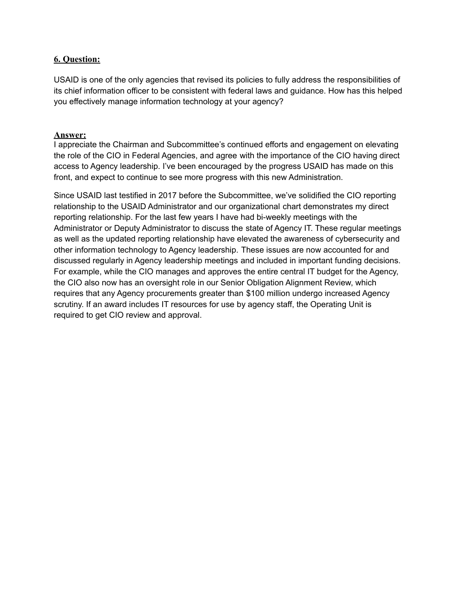USAID is one of the only agencies that revised its policies to fully address the responsibilities of its chief information officer to be consistent with federal laws and guidance. How has this helped you effectively manage information technology at your agency?

#### **Answer:**

I appreciate the Chairman and Subcommittee's continued efforts and engagement on elevating the role of the CIO in Federal Agencies, and agree with the importance of the CIO having direct access to Agency leadership. I've been encouraged by the progress USAID has made on this front, and expect to continue to see more progress with this new Administration.

Since USAID last testified in 2017 before the Subcommittee, we've solidified the CIO reporting relationship to the USAID Administrator and our organizational chart demonstrates my direct reporting relationship. For the last few years I have had bi-weekly meetings with the Administrator or Deputy Administrator to discuss the state of Agency IT. These regular meetings as well as the updated reporting relationship have elevated the awareness of cybersecurity and other information technology to Agency leadership. These issues are now accounted for and discussed regularly in Agency leadership meetings and included in important funding decisions. For example, while the CIO manages and approves the entire central IT budget for the Agency, the CIO also now has an oversight role in our Senior Obligation Alignment Review, which requires that any Agency procurements greater than \$100 million undergo increased Agency scrutiny. If an award includes IT resources for use by agency staff, the Operating Unit is required to get CIO review and approval.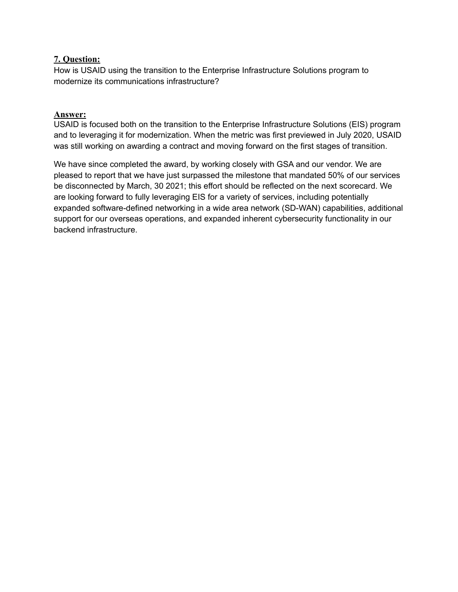How is USAID using the transition to the Enterprise Infrastructure Solutions program to modernize its communications infrastructure?

#### **Answer:**

USAID is focused both on the transition to the Enterprise Infrastructure Solutions (EIS) program and to leveraging it for modernization. When the metric was first previewed in July 2020, USAID was still working on awarding a contract and moving forward on the first stages of transition.

We have since completed the award, by working closely with GSA and our vendor. We are pleased to report that we have just surpassed the milestone that mandated 50% of our services be disconnected by March, 30 2021; this effort should be reflected on the next scorecard. We are looking forward to fully leveraging EIS for a variety of services, including potentially expanded software-defined networking in a wide area network (SD-WAN) capabilities, additional support for our overseas operations, and expanded inherent cybersecurity functionality in our backend infrastructure.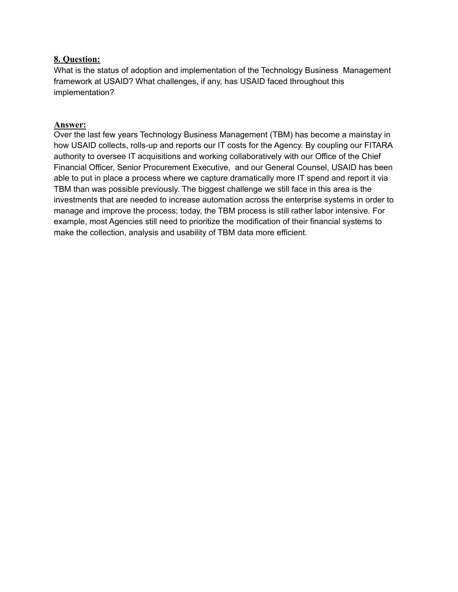What is the status of adoption and implementation of the Technology Business Management framework at USAID? What challenges, if any, has USAID faced throughout this implementation?

#### **Answer:**

Over the last few years Technology Business Management (TBM) has become a mainstay in how USAID collects, rolls-up and reports our IT costs for the Agency. By coupling our FITARA authority to oversee IT acquisitions and working collaboratively with our Office of the Chief Financial Officer, Senior Procurement Executive, and our General Counsel, USAID has been able to put in place a process where we capture dramatically more IT spend and report it via TBM than was possible previously. The biggest challenge we still face in this area is the investments that are needed to increase automation across the enterprise systems in order to manage and improve the process; today, the TBM process is still rather labor intensive. For example, most Agencies still need to prioritize the modification of their financial systems to make the collection, analysis and usability of TBM data more efficient.